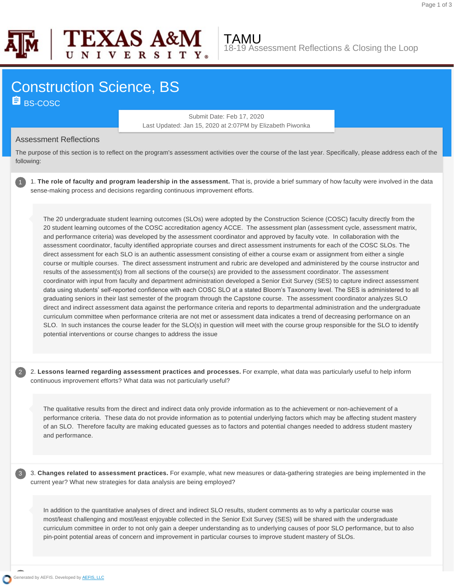

2

3



TAMU 18-19 Assessment Reflections & Closing the Loop

## Construction Science, BS **B** BS-COSC

Submit Date: Feb 17, 2020 Last Updated: Jan 15, 2020 at 2:07PM by Elizabeth Piwonka

## Assessment Reflections

The purpose of this section is to reflect on the program's assessment activities over the course of the last year. Specifically, please address each of the following:

1. **The role of faculty and program leadership in the assessment.** That is, provide a brief summary of how faculty were involved in the data sense-making process and decisions regarding continuous improvement efforts.

The 20 undergraduate student learning outcomes (SLOs) were adopted by the Construction Science (COSC) faculty directly from the 20 student learning outcomes of the COSC accreditation agency ACCE. The assessment plan (assessment cycle, assessment matrix, and performance criteria) was developed by the assessment coordinator and approved by faculty vote. In collaboration with the assessment coordinator, faculty identified appropriate courses and direct assessment instruments for each of the COSC SLOs. The direct assessment for each SLO is an authentic assessment consisting of either a course exam or assignment from either a single course or multiple courses. The direct assessment instrument and rubric are developed and administered by the course instructor and results of the assessment(s) from all sections of the course(s) are provided to the assessment coordinator. The assessment coordinator with input from faculty and department administration developed a Senior Exit Survey (SES) to capture indirect assessment data using students' selfreported confidence with each COSC SLO at a stated Bloom's Taxonomy level. The SES is administered to all graduating seniors in their last semester of the program through the Capstone course. The assessment coordinator analyzes SLO direct and indirect assessment data against the performance criteria and reports to departmental administration and the undergraduate curriculum committee when performance criteria are not met or assessment data indicates a trend of decreasing performance on an SLO. In such instances the course leader for the SLO(s) in question will meet with the course group responsible for the SLO to identify potential interventions or course changes to address the issue

2. **Lessons learned regarding assessment practices and processes.** For example, what data was particularly useful to help inform continuous improvement efforts? What data was not particularly useful?

The qualitative results from the direct and indirect data only provide information as to the achievement or non-achievement of a performance criteria. These data do not provide information as to potential underlying factors which may be affecting student mastery of an SLO. Therefore faculty are making educated guesses as to factors and potential changes needed to address student mastery and performance.

3. **Changes related to assessment practices.** For example, what new measures or data-gathering strategies are being implemented in the current year? What new strategies for data analysis are being employed?

In addition to the quantitative analyses of direct and indirect SLO results, student comments as to why a particular course was most/least challenging and most/least enjoyable collected in the Senior Exit Survey (SES) will be shared with the undergraduate curriculum committee in order to not only gain a deeper understanding as to underlying causes of poor SLO performance, but to also pin-point potential areas of concern and improvement in particular courses to improve student mastery of SLOs.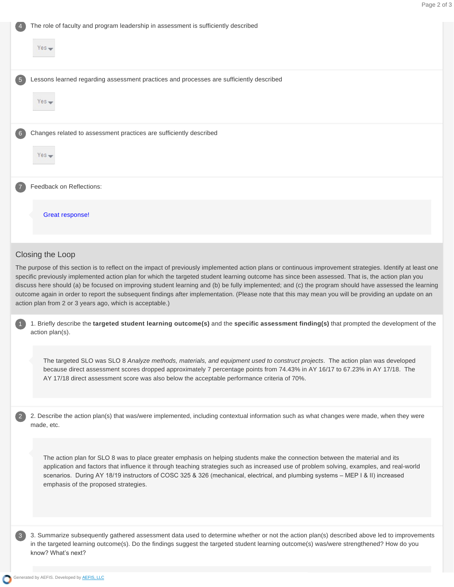|                  | The role of faculty and program leadership in assessment is sufficiently described                                                                                                                                                                                                                                                                                                                                                                                                                                                                                                                                                                                                          |  |
|------------------|---------------------------------------------------------------------------------------------------------------------------------------------------------------------------------------------------------------------------------------------------------------------------------------------------------------------------------------------------------------------------------------------------------------------------------------------------------------------------------------------------------------------------------------------------------------------------------------------------------------------------------------------------------------------------------------------|--|
|                  | Yes —                                                                                                                                                                                                                                                                                                                                                                                                                                                                                                                                                                                                                                                                                       |  |
|                  | Lessons learned regarding assessment practices and processes are sufficiently described                                                                                                                                                                                                                                                                                                                                                                                                                                                                                                                                                                                                     |  |
|                  | $Yes$ $\rightarrow$                                                                                                                                                                                                                                                                                                                                                                                                                                                                                                                                                                                                                                                                         |  |
|                  | Changes related to assessment practices are sufficiently described                                                                                                                                                                                                                                                                                                                                                                                                                                                                                                                                                                                                                          |  |
|                  | $Yes =$                                                                                                                                                                                                                                                                                                                                                                                                                                                                                                                                                                                                                                                                                     |  |
|                  | Feedback on Reflections:                                                                                                                                                                                                                                                                                                                                                                                                                                                                                                                                                                                                                                                                    |  |
|                  | <b>Great response!</b>                                                                                                                                                                                                                                                                                                                                                                                                                                                                                                                                                                                                                                                                      |  |
| Closing the Loop |                                                                                                                                                                                                                                                                                                                                                                                                                                                                                                                                                                                                                                                                                             |  |
|                  | The purpose of this section is to reflect on the impact of previously implemented action plans or continuous improvement strategies. Identify at least one<br>specific previously implemented action plan for which the targeted student learning outcome has since been assessed. That is, the action plan you<br>discuss here should (a) be focused on improving student learning and (b) be fully implemented; and (c) the program should have assessed the learning<br>outcome again in order to report the subsequent findings after implementation. (Please note that this may mean you will be providing an update on an<br>action plan from 2 or 3 years ago, which is acceptable.) |  |
|                  | 1. Briefly describe the targeted student learning outcome(s) and the specific assessment finding(s) that prompted the development of the<br>action plan(s).                                                                                                                                                                                                                                                                                                                                                                                                                                                                                                                                 |  |
|                  | The targeted SLO was SLO 8 Analyze methods, materials, and equipment used to construct projects. The action plan was developed<br>because direct assessment scores dropped approximately 7 percentage points from 74.43% in AY 16/17 to 67.23% in AY 17/18. The<br>AY 17/18 direct assessment score was also below the acceptable performance criteria of 70%.                                                                                                                                                                                                                                                                                                                              |  |
|                  | 2. Describe the action plan(s) that was/were implemented, including contextual information such as what changes were made, when they were<br>made, etc.                                                                                                                                                                                                                                                                                                                                                                                                                                                                                                                                     |  |
|                  | The action plan for SLO 8 was to place greater emphasis on helping students make the connection between the material and its<br>application and factors that influence it through teaching strategies such as increased use of problem solving, examples, and real-world<br>scenarios. During AY 18/19 instructors of COSC 325 & 326 (mechanical, electrical, and plumbing systems - MEP I & II) increased<br>emphasis of the proposed strategies.                                                                                                                                                                                                                                          |  |
|                  | 3. Summarize subsequently gathered assessment data used to determine whether or not the action plan(s) described above led to improvements<br>in the targeted learning outcome(s). Do the findings suggest the targeted student learning outcome(s) was/were strengthened? How do you<br>know? What's next?                                                                                                                                                                                                                                                                                                                                                                                 |  |